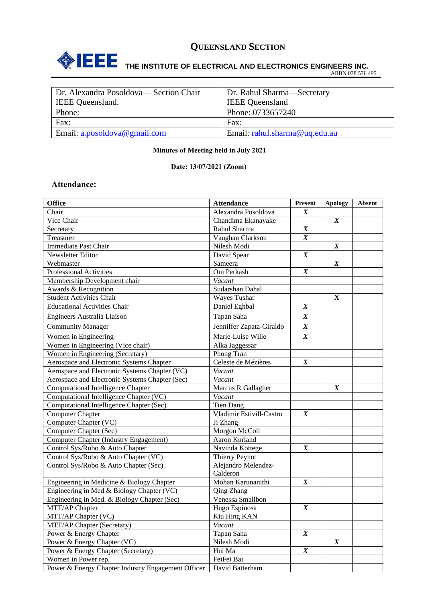

# **THE INSTITUTE OF ELECTRICAL AND ELECTRONICS ENGINEERS INC.**

ARBN 078 576 495

| Dr. Alexandra Posoldova— Section Chair | Dr. Rahul Sharma—Secretary    |
|----------------------------------------|-------------------------------|
| <b>IEEE</b> Queensland.                | <b>IEEE</b> Queensland        |
| Phone:                                 | Phone: 0733657240             |
| Fax:                                   | Fax:                          |
| Email: a.posoldova@gmail.com           | Email: rahul.sharma@uq.edu.au |
|                                        |                               |

#### **Minutes of Meeting held in July 2021**

#### **Date: 13/07/2021 (Zoom)**

#### **Attendance:**

| <b>Office</b>                                      | <b>Attendance</b>        | Present          | <b>Apology</b>   | Absent |
|----------------------------------------------------|--------------------------|------------------|------------------|--------|
| Chair                                              | Alexandra Posoldova      | $\boldsymbol{X}$ |                  |        |
| Vice Chair                                         | Chandima Ekanayake       |                  | $\boldsymbol{X}$ |        |
| Secretary                                          | Rahul Sharma             | $\boldsymbol{X}$ |                  |        |
| Treasurer                                          | Vaughan Clarkson         | $\boldsymbol{X}$ |                  |        |
| <b>Immediate Past Chair</b>                        | Nilesh Modi              |                  | $\boldsymbol{X}$ |        |
| Newsletter Editor                                  | David Spear              | $\boldsymbol{X}$ |                  |        |
| Webmaster                                          | Sameera                  |                  | $\boldsymbol{X}$ |        |
| <b>Professional Activities</b>                     | Om Perkash               | $\boldsymbol{X}$ |                  |        |
| Membership Development chair                       | Vacant                   |                  |                  |        |
| Awards & Recognition                               | Sudarshan Dahal          |                  |                  |        |
| <b>Student Activities Chair</b>                    | Wayes Tushar             |                  | $\mathbf X$      |        |
| <b>Educational Activities Chair</b>                | Daniel Eghbal            | $\boldsymbol{X}$ |                  |        |
| Engineers Australia Liaison                        | Tapan Saha               | $\boldsymbol{X}$ |                  |        |
| <b>Community Manager</b>                           | Jenniffer Zapata-Giraldo | $\boldsymbol{X}$ |                  |        |
| Women in Engineering                               | Marie-Luise Wille        | $\boldsymbol{X}$ |                  |        |
| Women in Engineering (Vice chair)                  | Alka Jaggessar           |                  |                  |        |
| Women in Engineering (Secretary)                   | Phong Tran               |                  |                  |        |
| Aerospace and Electronic Systems Chapter           | Celeste de Mézières      | $\boldsymbol{X}$ |                  |        |
| Aerospace and Electronic Systems Chapter (VC)      | Vacant                   |                  |                  |        |
| Aerospace and Electronic Systems Chapter (Sec)     | Vacant                   |                  |                  |        |
| <b>Computational Intelligence Chapter</b>          | Marcus R Gallagher       |                  | $\boldsymbol{X}$ |        |
| Computational Intelligence Chapter (VC)            | Vacant                   |                  |                  |        |
| Computational Intelligence Chapter (Sec)           | <b>Tien Dang</b>         |                  |                  |        |
| <b>Computer Chapter</b>                            | Vladimir Estivill-Castro | $\boldsymbol{X}$ |                  |        |
| Computer Chapter (VC)                              | Ji Zhang                 |                  |                  |        |
| Computer Chapter (Sec)                             | Morgon McColl            |                  |                  |        |
| <b>Computer Chapter (Industry Engagement)</b>      | Aaron Kurland            |                  |                  |        |
| Control Sys/Robo & Auto Chapter                    | Navinda Kottege          | $\boldsymbol{X}$ |                  |        |
| Control Sys/Robo & Auto Chapter (VC)               | Thierry Peynot           |                  |                  |        |
| Control Sys/Robo & Auto Chapter (Sec)              | Alejandro Melendez-      |                  |                  |        |
|                                                    | Calderon                 |                  |                  |        |
| Engineering in Medicine & Biology Chapter          | Mohan Karunanithi        | $\boldsymbol{X}$ |                  |        |
| Engineering in Med & Biology Chapter (VC)          | Qing Zhang               |                  |                  |        |
| Engineering in Med. & Biology Chapter (Sec)        | Venessa Smallbon         |                  |                  |        |
| MTT/AP Chapter                                     | Hugo Espinosa            | $\boldsymbol{X}$ |                  |        |
| MTT/AP Chapter (VC)                                | Kiu Hing KAN             |                  |                  |        |
| MTT/AP Chapter (Secretary)                         | Vacant                   |                  |                  |        |
| Power & Energy Chapter                             | Tapan Saha               | $\boldsymbol{X}$ |                  |        |
| Power & Energy Chapter (VC)                        | Nilesh Modi              |                  | $\boldsymbol{X}$ |        |
| Power & Energy Chapter (Secretary)                 | Hui Ma                   | $\boldsymbol{X}$ |                  |        |
| Women in Power rep.                                | FeiFei Bai               |                  |                  |        |
| Power & Energy Chapter Industry Engagement Officer | David Batterham          |                  |                  |        |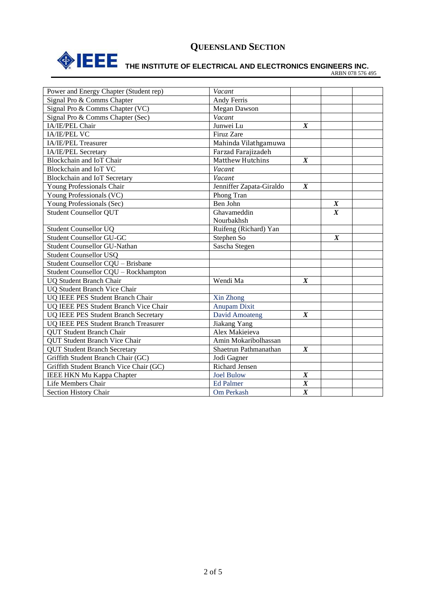

# **THE INSTITUTE OF ELECTRICAL AND ELECTRONICS ENGINEERS INC.**

ARBN 078 576 495

| Power and Energy Chapter (Student rep)  | Vacant                   |                  |                  |  |
|-----------------------------------------|--------------------------|------------------|------------------|--|
| Signal Pro & Comms Chapter              | Andy Ferris              |                  |                  |  |
| Signal Pro & Comms Chapter (VC)         | Megan Dawson             |                  |                  |  |
| Signal Pro & Comms Chapter (Sec)        | Vacant                   |                  |                  |  |
| IA/IE/PEL Chair                         | Junwei Lu                | $\boldsymbol{X}$ |                  |  |
| <b>IA/IE/PEL VC</b>                     | Firuz Zare               |                  |                  |  |
| IA/IE/PEL Treasurer                     | Mahinda Vilathgamuwa     |                  |                  |  |
| IA/IE/PEL Secretary                     | Farzad Farajizadeh       |                  |                  |  |
| Blockchain and IoT Chair                | Matthew Hutchins         | $\boldsymbol{X}$ |                  |  |
| Blockchain and IoT VC                   | Vacant                   |                  |                  |  |
| Blockchain and IoT Secretary            | Vacant                   |                  |                  |  |
| Young Professionals Chair               | Jenniffer Zapata-Giraldo | $\boldsymbol{X}$ |                  |  |
| Young Professionals (VC)                | Phong Tran               |                  |                  |  |
| Young Professionals (Sec)               | Ben John                 |                  | $\boldsymbol{X}$ |  |
| Student Counsellor QUT                  | Ghavameddin              |                  | $\boldsymbol{X}$ |  |
|                                         | Nourbakhsh               |                  |                  |  |
| <b>Student Counsellor UQ</b>            | Ruifeng (Richard) Yan    |                  |                  |  |
| <b>Student Counsellor GU-GC</b>         | Stephen So               |                  | $\boldsymbol{X}$ |  |
| <b>Student Counsellor GU-Nathan</b>     | Sascha Stegen            |                  |                  |  |
| <b>Student Counsellor USQ</b>           |                          |                  |                  |  |
| Student Counsellor CQU - Brisbane       |                          |                  |                  |  |
| Student Counsellor CQU - Rockhampton    |                          |                  |                  |  |
| <b>UQ Student Branch Chair</b>          | Wendi Ma                 | $\boldsymbol{X}$ |                  |  |
| <b>UQ Student Branch Vice Chair</b>     |                          |                  |                  |  |
| UQ IEEE PES Student Branch Chair        | Xin Zhong                |                  |                  |  |
| UQ IEEE PES Student Branch Vice Chair   | <b>Anupam Dixit</b>      |                  |                  |  |
| UQ IEEE PES Student Branch Secretary    | David Amoateng           | $\boldsymbol{X}$ |                  |  |
| UQ IEEE PES Student Branch Treasurer    | Jiakang Yang             |                  |                  |  |
| <b>QUT Student Branch Chair</b>         | Alex Makieieva           |                  |                  |  |
| <b>QUT Student Branch Vice Chair</b>    | Amin Mokaribolhassan     |                  |                  |  |
| <b>QUT Student Branch Secretary</b>     | Shaetrun Pathmanathan    | $\boldsymbol{X}$ |                  |  |
| Griffith Student Branch Chair (GC)      | Jodi Gagner              |                  |                  |  |
| Griffith Student Branch Vice Chair (GC) | <b>Richard Jensen</b>    |                  |                  |  |
| <b>IEEE HKN Mu Kappa Chapter</b>        | <b>Joel Bulow</b>        | $\boldsymbol{X}$ |                  |  |
| Life Members Chair                      | <b>Ed Palmer</b>         | $\overline{X}$   |                  |  |
| Section History Chair                   | Om Perkash               | $\overline{X}$   |                  |  |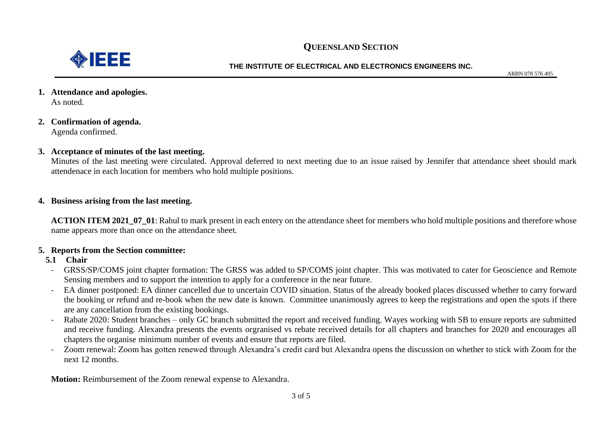

#### **THE INSTITUTE OF ELECTRICAL AND ELECTRONICS ENGINEERS INC.**

ARBN 078 576 495

- **1. Attendance and apologies.** As noted.
- **2. Confirmation of agenda.** Agenda confirmed.

#### **3. Acceptance of minutes of the last meeting.**

Minutes of the last meeting were circulated. Approval deferred to next meeting due to an issue raised by Jennifer that attendance sheet should mark attendenace in each location for members who hold multiple positions.

#### **4. Business arising from the last meeting.**

**ACTION ITEM 2021\_07\_01**: Rahul to mark present in each entery on the attendance sheet for members who hold multiple positions and therefore whose name appears more than once on the attendance sheet.

#### **5. Reports from the Section committee:**

#### **5.1 Chair**

- GRSS/SP/COMS joint chapter formation: The GRSS was added to SP/COMS joint chapter. This was motivated to cater for Geoscience and Remote Sensing members and to support the intention to apply for a conference in the near future.
- EA dinner postponed: EA dinner cancelled due to uncertain COVID situation. Status of the already booked places discussed whether to carry forward the booking or refund and re-book when the new date is known. Committee unanimously agrees to keep the registrations and open the spots if there are any cancellation from the existing bookings.
- Rabate 2020: Student branches only GC branch submitted the report and received funding. Wayes working with SB to ensure reports are submitted and receive funding. Alexandra presents the events orgranised vs rebate received details for all chapters and branches for 2020 and encourages all chapters the organise minimum number of events and ensure that reports are filed.
- Zoom renewal: Zoom has gotten renewed through Alexandra's credit card but Alexandra opens the discussion on whether to stick with Zoom for the next 12 months.

**Motion:** Reimbursement of the Zoom renewal expense to Alexandra.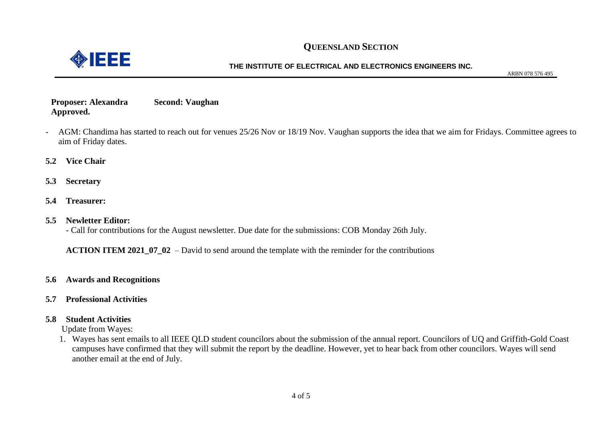

#### **THE INSTITUTE OF ELECTRICAL AND ELECTRONICS ENGINEERS INC.**

ARBN 078 576 495

#### **Proposer: Alexandra Second: Vaughan Approved.**

- AGM: Chandima has started to reach out for venues 25/26 Nov or 18/19 Nov. Vaughan supports the idea that we aim for Fridays. Committee agrees to aim of Friday dates.
- **5.2 Vice Chair**
- **5.3 Secretary**
- **5.4 Treasurer:**

#### **5.5 Newletter Editor:**

- Call for contributions for the August newsletter. Due date for the submissions: COB Monday 26th July.

**ACTION ITEM 2021\_07\_02** – David to send around the template with the reminder for the contributions

- **5.6 Awards and Recognitions**
- **5.7 Professional Activities**

#### **5.8 Student Activities**

Update from Wayes:

1. Wayes has sent emails to all IEEE QLD student councilors about the submission of the annual report. Councilors of UQ and Griffith-Gold Coast campuses have confirmed that they will submit the report by the deadline. However, yet to hear back from other councilors. Wayes will send another email at the end of July.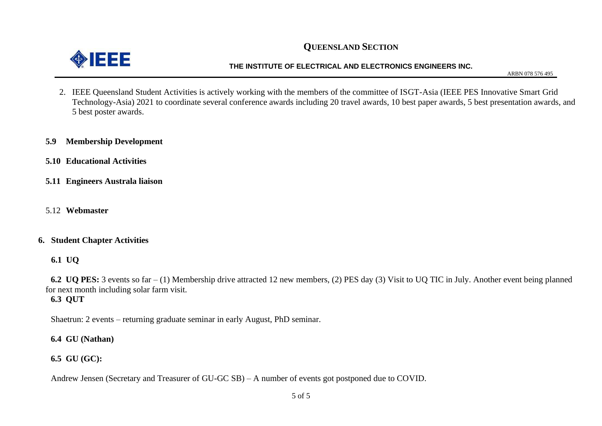

#### **THE INSTITUTE OF ELECTRICAL AND ELECTRONICS ENGINEERS INC.**

ARBN 078 576 495

2. IEEE Queensland Student Activities is actively working with the members of the committee of ISGT-Asia (IEEE PES Innovative Smart Grid Technology-Asia) 2021 to coordinate several conference awards including 20 travel awards, 10 best paper awards, 5 best presentation awards, and 5 best poster awards.

#### **5.9 Membership Development**

- **5.10 Educational Activities**
- **5.11 Engineers Australa liaison**
- 5.12 **Webmaster**

#### **6. Student Chapter Activities**

**6.1 UQ**

**6.2 UQ PES:** 3 events so far – (1) Membership drive attracted 12 new members, (2) PES day (3) Visit to UQ TIC in July. Another event being planned for next month including solar farm visit. **6.3 QUT**

Shaetrun: 2 events – returning graduate seminar in early August, PhD seminar.

**6.4 GU (Nathan)**

**6.5 GU (GC):**

Andrew Jensen (Secretary and Treasurer of GU-GC SB) – A number of events got postponed due to COVID.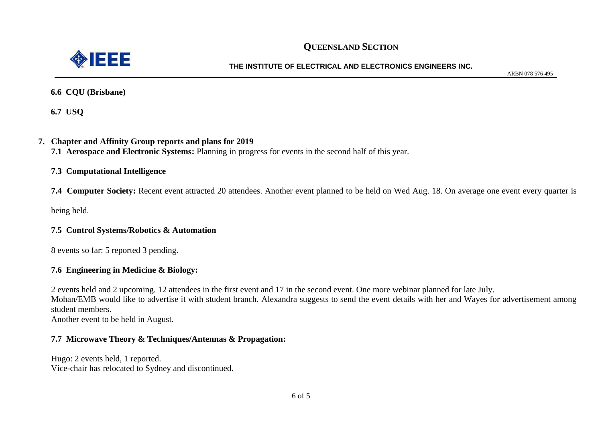

#### **THE INSTITUTE OF ELECTRICAL AND ELECTRONICS ENGINEERS INC.**

ARBN 078 576 495

**6.6 CQU (Brisbane)**

**6.7 USQ**

#### **7. Chapter and Affinity Group reports and plans for 2019**

**7.1 Aerospace and Electronic Systems:** Planning in progress for events in the second half of this year.

#### **7.3 Computational Intelligence**

**7.4 Computer Society:** Recent event attracted 20 attendees. Another event planned to be held on Wed Aug. 18. On average one event every quarter is

being held.

#### **7.5 Control Systems/Robotics & Automation**

8 events so far: 5 reported 3 pending.

#### **7.6 Engineering in Medicine & Biology:**

2 events held and 2 upcoming. 12 attendees in the first event and 17 in the second event. One more webinar planned for late July.

Mohan/EMB would like to advertise it with student branch. Alexandra suggests to send the event details with her and Wayes for advertisement among student members.

Another event to be held in August.

#### **7.7 Microwave Theory & Techniques/Antennas & Propagation:**

Hugo: 2 events held, 1 reported. Vice-chair has relocated to Sydney and discontinued.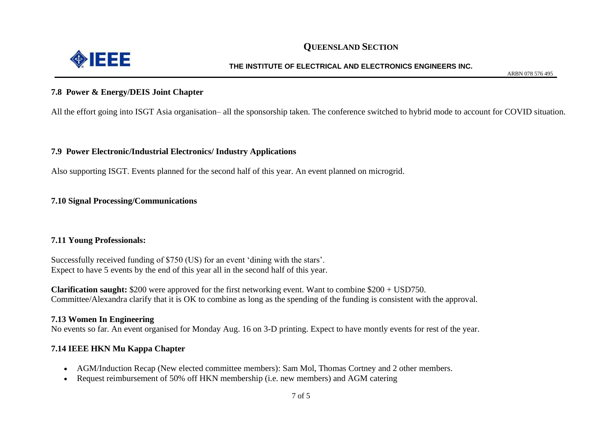

#### **THE INSTITUTE OF ELECTRICAL AND ELECTRONICS ENGINEERS INC.**

ARBN 078 576 495

#### **7.8 Power & Energy/DEIS Joint Chapter**

All the effort going into ISGT Asia organisation– all the sponsorship taken. The conference switched to hybrid mode to account for COVID situation.

#### **7.9 Power Electronic/Industrial Electronics/ Industry Applications**

Also supporting ISGT. Events planned for the second half of this year. An event planned on microgrid.

#### **7.10 Signal Processing/Communications**

#### **7.11 Young Professionals:**

Successfully received funding of \$750 (US) for an event 'dining with the stars'. Expect to have 5 events by the end of this year all in the second half of this year.

**Clarification saught:** \$200 were approved for the first networking event. Want to combine \$200 + USD750. Committee/Alexandra clarify that it is OK to combine as long as the spending of the funding is consistent with the approval.

#### **7.13 Women In Engineering**

No events so far. An event organised for Monday Aug. 16 on 3-D printing. Expect to have montly events for rest of the year.

#### **7.14 IEEE HKN Mu Kappa Chapter**

- AGM/Induction Recap (New elected committee members): Sam Mol, Thomas Cortney and 2 other members.
- Request reimbursement of 50% off HKN membership (i.e. new members) and AGM catering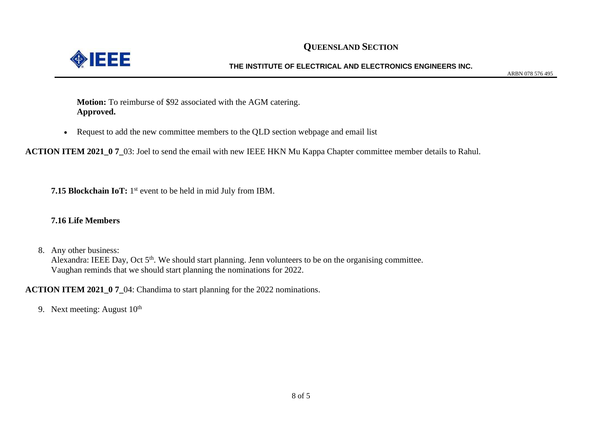

#### **THE INSTITUTE OF ELECTRICAL AND ELECTRONICS ENGINEERS INC.**

ARBN 078 576 495

**Motion:** To reimburse of \$92 associated with the AGM catering. **Approved.** 

• Request to add the new committee members to the QLD section webpage and email list

**ACTION ITEM 2021\_0 7\_**03: Joel to send the email with new IEEE HKN Mu Kappa Chapter committee member details to Rahul.

**7.15 Blockchain IoT:** 1<sup>st</sup> event to be held in mid July from IBM.

#### **7.16 Life Members**

8. Any other business:

Alexandra: IEEE Day, Oct 5<sup>th</sup>. We should start planning. Jenn volunteers to be on the organising committee. Vaughan reminds that we should start planning the nominations for 2022.

**ACTION ITEM 2021\_0 7\_04:** Chandima to start planning for the 2022 nominations.

9. Next meeting: August  $10<sup>th</sup>$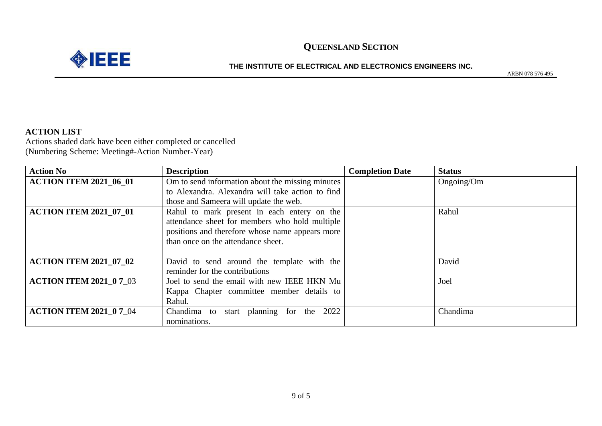



#### **THE INSTITUTE OF ELECTRICAL AND ELECTRONICS ENGINEERS INC.**

ARBN 078 576 495

#### **ACTION LIST**

Actions shaded dark have been either completed or cancelled (Numbering Scheme: Meeting#-Action Number-Year)

| <b>Action No</b>               | <b>Description</b>                               | <b>Completion Date</b> | <b>Status</b> |
|--------------------------------|--------------------------------------------------|------------------------|---------------|
| <b>ACTION ITEM 2021_06_01</b>  | Om to send information about the missing minutes |                        | Ongoing/Om    |
|                                | to Alexandra. Alexandra will take action to find |                        |               |
|                                | those and Sameera will update the web.           |                        |               |
| ACTION ITEM 2021_07_01         | Rahul to mark present in each entery on the      |                        | Rahul         |
|                                | attendance sheet for members who hold multiple   |                        |               |
|                                | positions and therefore whose name appears more  |                        |               |
|                                | than once on the attendance sheet.               |                        |               |
|                                |                                                  |                        |               |
| <b>ACTION ITEM 2021_07_02</b>  | David to send around the template with the       |                        | David         |
|                                | reminder for the contributions                   |                        |               |
| <b>ACTION ITEM 2021 0 7 03</b> | Joel to send the email with new IEEE HKN Mu      |                        | Joel          |
|                                | Kappa Chapter committee member details to        |                        |               |
|                                | Rahul.                                           |                        |               |
| <b>ACTION ITEM 2021_0 7_04</b> | Chandima to start planning for the 2022          |                        | Chandima      |
|                                | nominations.                                     |                        |               |